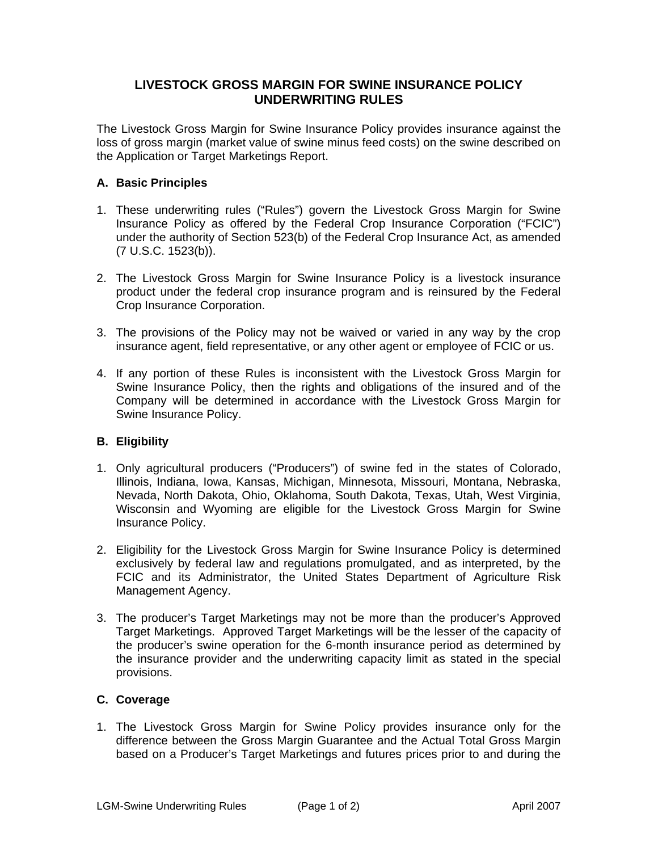## **LIVESTOCK GROSS MARGIN FOR SWINE INSURANCE POLICY UNDERWRITING RULES**

The Livestock Gross Margin for Swine Insurance Policy provides insurance against the loss of gross margin (market value of swine minus feed costs) on the swine described on the Application or Target Marketings Report.

## **A. Basic Principles**

- 1. These underwriting rules ("Rules") govern the Livestock Gross Margin for Swine Insurance Policy as offered by the Federal Crop Insurance Corporation ("FCIC") under the authority of Section 523(b) of the Federal Crop Insurance Act, as amended (7 U.S.C. 1523(b)).
- 2. The Livestock Gross Margin for Swine Insurance Policy is a livestock insurance product under the federal crop insurance program and is reinsured by the Federal Crop Insurance Corporation.
- 3. The provisions of the Policy may not be waived or varied in any way by the crop insurance agent, field representative, or any other agent or employee of FCIC or us.
- 4. If any portion of these Rules is inconsistent with the Livestock Gross Margin for Swine Insurance Policy, then the rights and obligations of the insured and of the Company will be determined in accordance with the Livestock Gross Margin for Swine Insurance Policy.

## **B. Eligibility**

- 1. Only agricultural producers ("Producers") of swine fed in the states of Colorado, Illinois, Indiana, Iowa, Kansas, Michigan, Minnesota, Missouri, Montana, Nebraska, Nevada, North Dakota, Ohio, Oklahoma, South Dakota, Texas, Utah, West Virginia, Wisconsin and Wyoming are eligible for the Livestock Gross Margin for Swine Insurance Policy.
- 2. Eligibility for the Livestock Gross Margin for Swine Insurance Policy is determined exclusively by federal law and regulations promulgated, and as interpreted, by the FCIC and its Administrator, the United States Department of Agriculture Risk Management Agency.
- 3. The producer's Target Marketings may not be more than the producer's Approved Target Marketings. Approved Target Marketings will be the lesser of the capacity of the producer's swine operation for the 6-month insurance period as determined by the insurance provider and the underwriting capacity limit as stated in the special provisions.

## **C. Coverage**

1. The Livestock Gross Margin for Swine Policy provides insurance only for the difference between the Gross Margin Guarantee and the Actual Total Gross Margin based on a Producer's Target Marketings and futures prices prior to and during the